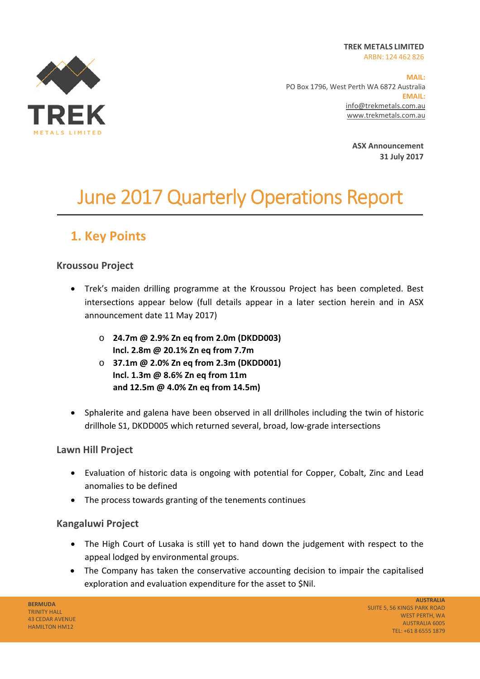**TREK METALS LIMITED**  ARBN: 124 462 826



**MAIL:**  PO Box 1796, West Perth WA 6872 Australia **EMAIL:** info@trekmetals.com.au www.trekmetals.com.au

> **ASX Announcement 31 July 2017**

# June 2017 Quarterly Operations Report

## **1. Key Points**

#### **Kroussou Project**

- Trek's maiden drilling programme at the Kroussou Project has been completed. Best intersections appear below (full details appear in a later section herein and in ASX announcement date 11 May 2017)
	- o **24.7m @ 2.9% Zn eq from 2.0m (DKDD003) Incl. 2.8m @ 20.1% Zn eq from 7.7m**
	- o **37.1m @ 2.0% Zn eq from 2.3m (DKDD001) Incl. 1.3m @ 8.6% Zn eq from 11m and 12.5m @ 4.0% Zn eq from 14.5m)**
- Sphalerite and galena have been observed in all drillholes including the twin of historic drillhole S1, DKDD005 which returned several, broad, low‐grade intersections

#### **Lawn Hill Project**

- Evaluation of historic data is ongoing with potential for Copper, Cobalt, Zinc and Lead anomalies to be defined
- The process towards granting of the tenements continues

#### **Kangaluwi Project**

- The High Court of Lusaka is still yet to hand down the judgement with respect to the appeal lodged by environmental groups.
- The Company has taken the conservative accounting decision to impair the capitalised exploration and evaluation expenditure for the asset to \$Nil.

**BERMUDA**  TRINITY HALL 43 CEDAR AVENUE HAMILTON HM12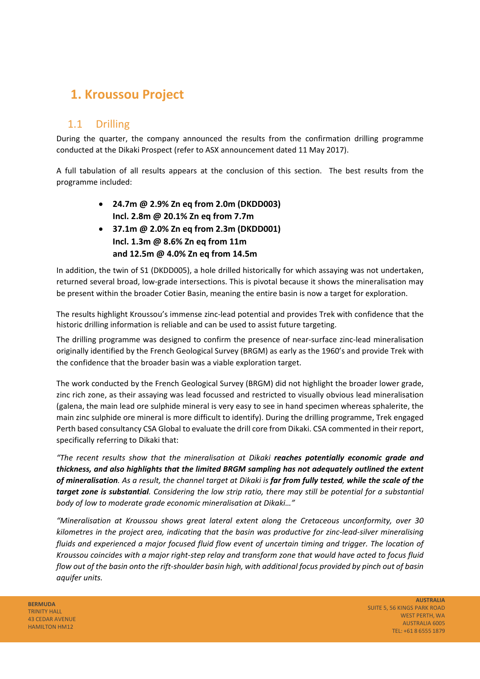## **1. Kroussou Project**

#### 1.1 Drilling

During the quarter, the company announced the results from the confirmation drilling programme conducted at the Dikaki Prospect (refer to ASX announcement dated 11 May 2017).

A full tabulation of all results appears at the conclusion of this section. The best results from the programme included:

- **24.7m @ 2.9% Zn eq from 2.0m (DKDD003) Incl. 2.8m @ 20.1% Zn eq from 7.7m**
- **37.1m @ 2.0% Zn eq from 2.3m (DKDD001) Incl. 1.3m @ 8.6% Zn eq from 11m and 12.5m @ 4.0% Zn eq from 14.5m**

In addition, the twin of S1 (DKDD005), a hole drilled historically for which assaying was not undertaken, returned several broad, low‐grade intersections. This is pivotal because it shows the mineralisation may be present within the broader Cotier Basin, meaning the entire basin is now a target for exploration.

The results highlight Kroussou's immense zinc‐lead potential and provides Trek with confidence that the historic drilling information is reliable and can be used to assist future targeting.

The drilling programme was designed to confirm the presence of near-surface zinc-lead mineralisation originally identified by the French Geological Survey (BRGM) as early as the 1960's and provide Trek with the confidence that the broader basin was a viable exploration target.

The work conducted by the French Geological Survey (BRGM) did not highlight the broader lower grade, zinc rich zone, as their assaying was lead focussed and restricted to visually obvious lead mineralisation (galena, the main lead ore sulphide mineral is very easy to see in hand specimen whereas sphalerite, the main zinc sulphide ore mineral is more difficult to identify). During the drilling programme, Trek engaged Perth based consultancy CSA Global to evaluate the drill core from Dikaki. CSA commented in their report, specifically referring to Dikaki that:

*"The recent results show that the mineralisation at Dikaki reaches potentially economic grade and thickness, and also highlights that the limited BRGM sampling has not adequately outlined the extent of mineralisation. As a result, the channel target at Dikaki is far from fully tested, while the scale of the target zone is substantial. Considering the low strip ratio, there may still be potential for a substantial body of low to moderate grade economic mineralisation at Dikaki…"* 

*"Mineralisation at Kroussou shows great lateral extent along the Cretaceous unconformity, over 30 kilometres in the project area, indicating that the basin was productive for zinc‐lead‐silver mineralising fluids and experienced a major focused fluid flow event of uncertain timing and trigger. The location of Kroussou coincides with a major right‐step relay and transform zone that would have acted to focus fluid flow out of the basin onto the rift‐shoulder basin high, with additional focus provided by pinch out of basin aquifer units.* 

**BERMUDA** TRINITY HALL 43 CEDAR AVENUE HAMILTON HM12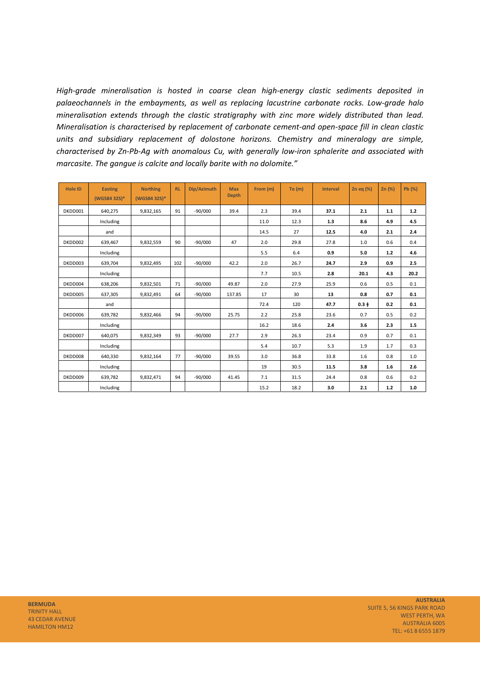*High‐grade mineralisation is hosted in coarse clean high‐energy clastic sediments deposited in palaeochannels in the embayments, as well as replacing lacustrine carbonate rocks. Low‐grade halo mineralisation extends through the clastic stratigraphy with zinc more widely distributed than lead. Mineralisation is characterised by replacement of carbonate cement‐and open‐space fill in clean clastic units and subsidiary replacement of dolostone horizons. Chemistry and mineralogy are simple, characterised by Zn‐Pb‐Ag with anomalous Cu, with generally low‐iron sphalerite and associated with marcasite. The gangue is calcite and locally barite with no dolomite."* 

| <b>Hole ID</b> | <b>Easting</b><br>(WGS84 32S)* | <b>Northing</b><br>(WGS84 32S)* | <b>RL</b> | Dip/Azimuth | <b>Max</b><br><b>Depth</b> | From (m) | To (m) | <b>Interval</b> | Zn eq $(\%)$ | Zn(%)   | Pb (%)  |
|----------------|--------------------------------|---------------------------------|-----------|-------------|----------------------------|----------|--------|-----------------|--------------|---------|---------|
| DKDD001        | 640,275                        | 9,832,165                       | 91        | $-90/000$   | 39.4                       | 2.3      | 39.4   | 37.1            | 2.1          | $1.1\,$ | $1.2$   |
|                | Including                      |                                 |           |             |                            | 11.0     | 12.3   | 1.3             | 8.6          | 4.9     | 4.5     |
|                | and                            |                                 |           |             |                            | 14.5     | 27     | 12.5            | 4.0          | 2.1     | 2.4     |
| DKDD002        | 639,467                        | 9,832,559                       | 90        | $-90/000$   | 47                         | 2.0      | 29.8   | 27.8            | 1.0          | 0.6     | 0.4     |
|                | Including                      |                                 |           |             |                            | 5.5      | 6.4    | 0.9             | 5.0          | 1.2     | 4.6     |
| DKDD003        | 639,704                        | 9,832,495                       | 102       | $-90/000$   | 42.2                       | 2.0      | 26.7   | 24.7            | 2.9          | 0.9     | 2.5     |
|                | Including                      |                                 |           |             |                            | 7.7      | 10.5   | 2.8             | 20.1         | 4.3     | 20.2    |
| DKDD004        | 638,206                        | 9,832,501                       | 71        | $-90/000$   | 49.87                      | 2.0      | 27.9   | 25.9            | 0.6          | 0.5     | 0.1     |
| DKDD005        | 637,305                        | 9,832,491                       | 64        | $-90/000$   | 137.85                     | 17       | 30     | 13              | 0.8          | 0.7     | 0.1     |
|                | and                            |                                 |           |             |                            | 72.4     | 120    | 47.7            | $0.3 +$      | 0.2     | 0.1     |
| DKDD006        | 639,782                        | 9,832,466                       | 94        | $-90/000$   | 25.75                      | 2.2      | 25.8   | 23.6            | 0.7          | 0.5     | 0.2     |
|                | Including                      |                                 |           |             |                            | 16.2     | 18.6   | 2.4             | 3.6          | 2.3     | 1.5     |
| DKDD007        | 640,075                        | 9,832,349                       | 93        | $-90/000$   | 27.7                       | 2.9      | 26.3   | 23.4            | 0.9          | 0.7     | 0.1     |
|                | Including                      |                                 |           |             |                            | 5.4      | 10.7   | 5.3             | 1.9          | 1.7     | 0.3     |
| DKDD008        | 640,330                        | 9,832,164                       | 77        | $-90/000$   | 39.55                      | 3.0      | 36.8   | 33.8            | 1.6          | 0.8     | 1.0     |
|                | Including                      |                                 |           |             |                            | 19       | 30.5   | 11.5            | 3.8          | 1.6     | 2.6     |
| DKDD009        | 639,782                        | 9,832,471                       | 94        | $-90/000$   | 41.45                      | 7.1      | 31.5   | 24.4            | 0.8          | 0.6     | 0.2     |
|                | Including                      |                                 |           |             |                            | 15.2     | 18.2   | 3.0             | 2.1          | $1.2$   | $1.0\,$ |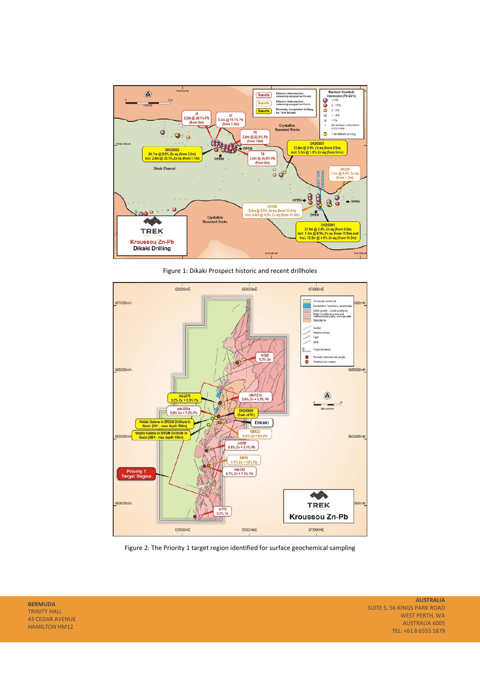

Figure 1: Dikaki Prospect historic and recent drillholes



Figure 2: The Priority 1 target region identified for surface geochemical sampling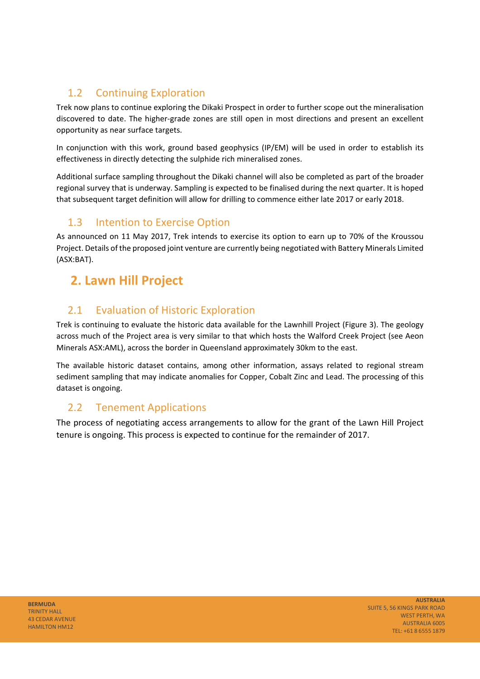### 1.2 Continuing Exploration

Trek now plans to continue exploring the Dikaki Prospect in order to further scope out the mineralisation discovered to date. The higher‐grade zones are still open in most directions and present an excellent opportunity as near surface targets.

In conjunction with this work, ground based geophysics (IP/EM) will be used in order to establish its effectiveness in directly detecting the sulphide rich mineralised zones.

Additional surface sampling throughout the Dikaki channel will also be completed as part of the broader regional survey that is underway. Sampling is expected to be finalised during the next quarter. It is hoped that subsequent target definition will allow for drilling to commence either late 2017 or early 2018.

### 1.3 Intention to Exercise Option

As announced on 11 May 2017, Trek intends to exercise its option to earn up to 70% of the Kroussou Project. Details of the proposed joint venture are currently being negotiated with Battery Minerals Limited (ASX:BAT).

## **2. Lawn Hill Project**

### 2.1 Evaluation of Historic Exploration

Trek is continuing to evaluate the historic data available for the Lawnhill Project (Figure 3). The geology across much of the Project area is very similar to that which hosts the Walford Creek Project (see Aeon Minerals ASX:AML), across the border in Queensland approximately 30km to the east.

The available historic dataset contains, among other information, assays related to regional stream sediment sampling that may indicate anomalies for Copper, Cobalt Zinc and Lead. The processing of this dataset is ongoing.

### 2.2 Tenement Applications

The process of negotiating access arrangements to allow for the grant of the Lawn Hill Project tenure is ongoing. This process is expected to continue for the remainder of 2017.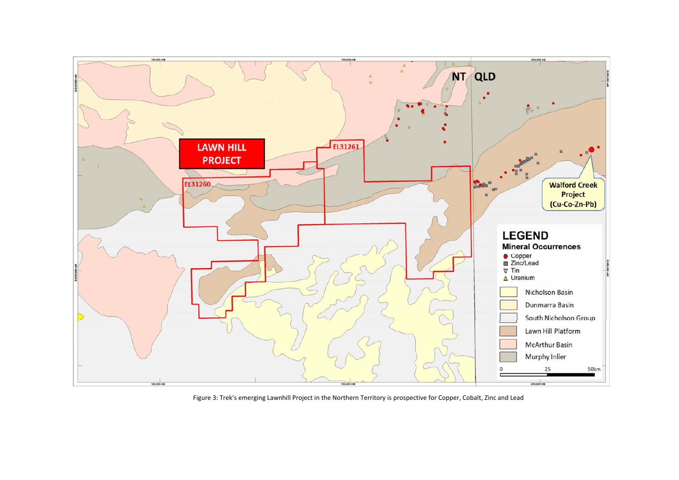

Figure 3: Trek's emerging Lawnhill Project in the Northern Territory is prospective for Copper, Cobalt, Zinc and Lead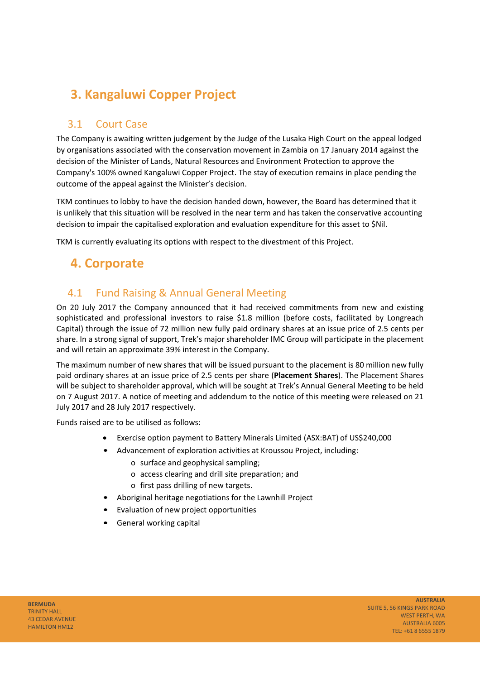## **3. Kangaluwi Copper Project**

### 3.1 Court Case

The Company is awaiting written judgement by the Judge of the Lusaka High Court on the appeal lodged by organisations associated with the conservation movement in Zambia on 17 January 2014 against the decision of the Minister of Lands, Natural Resources and Environment Protection to approve the Company's 100% owned Kangaluwi Copper Project. The stay of execution remains in place pending the outcome of the appeal against the Minister's decision.

TKM continues to lobby to have the decision handed down, however, the Board has determined that it is unlikely that this situation will be resolved in the near term and has taken the conservative accounting decision to impair the capitalised exploration and evaluation expenditure for this asset to \$Nil.

TKM is currently evaluating its options with respect to the divestment of this Project.

### **4. Corporate**

### 4.1 Fund Raising & Annual General Meeting

On 20 July 2017 the Company announced that it had received commitments from new and existing sophisticated and professional investors to raise \$1.8 million (before costs, facilitated by Longreach Capital) through the issue of 72 million new fully paid ordinary shares at an issue price of 2.5 cents per share. In a strong signal of support, Trek's major shareholder IMC Group will participate in the placement and will retain an approximate 39% interest in the Company.

The maximum number of new shares that will be issued pursuant to the placement is 80 million new fully paid ordinary shares at an issue price of 2.5 cents per share (**Placement Shares**). The Placement Shares will be subject to shareholder approval, which will be sought at Trek's Annual General Meeting to be held on 7 August 2017. A notice of meeting and addendum to the notice of this meeting were released on 21 July 2017 and 28 July 2017 respectively.

Funds raised are to be utilised as follows:

- Exercise option payment to Battery Minerals Limited (ASX:BAT) of US\$240,000
- Advancement of exploration activities at Kroussou Project, including:
	- o surface and geophysical sampling;
		- o access clearing and drill site preparation; and
		- o first pass drilling of new targets.
- Aboriginal heritage negotiations for the Lawnhill Project
- Evaluation of new project opportunities
- General working capital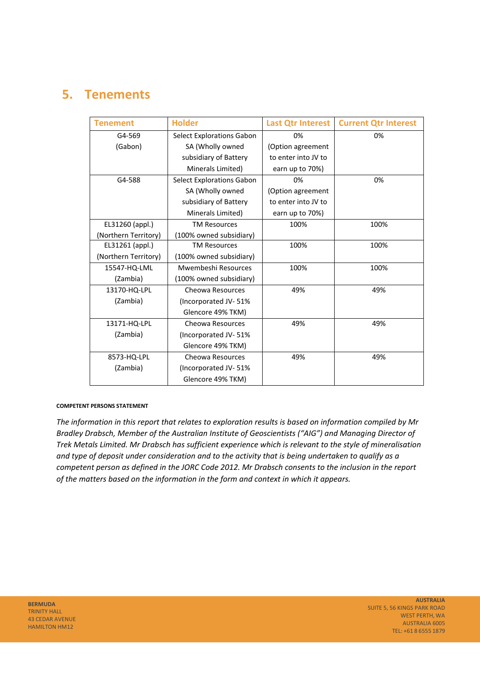## **5. Tenements**

| <b>Tenement</b>      | <b>Holder</b>                    | <b>Last Qtr Interest</b> | <b>Current Qtr Interest</b> |
|----------------------|----------------------------------|--------------------------|-----------------------------|
| G4-569               | <b>Select Explorations Gabon</b> | 0%                       | 0%                          |
| (Gabon)              | SA (Wholly owned                 | (Option agreement        |                             |
|                      | subsidiary of Battery            | to enter into JV to      |                             |
|                      | Minerals Limited)                | earn up to 70%)          |                             |
| G4-588               | <b>Select Explorations Gabon</b> | 0%                       | 0%                          |
|                      | SA (Wholly owned                 | (Option agreement        |                             |
|                      | subsidiary of Battery            | to enter into JV to      |                             |
|                      | Minerals Limited)                | earn up to 70%)          |                             |
| EL31260 (appl.)      | <b>TM Resources</b>              | 100%                     | 100%                        |
| (Northern Territory) | (100% owned subsidiary)          |                          |                             |
| EL31261 (appl.)      | <b>TM Resources</b>              | 100%                     | 100%                        |
| (Northern Territory) | (100% owned subsidiary)          |                          |                             |
| 15547-HQ-LML         | Mwembeshi Resources              | 100%                     | 100%                        |
| (Zambia)             | (100% owned subsidiary)          |                          |                             |
| 13170-HQ-LPL         | Cheowa Resources                 | 49%                      | 49%                         |
| (Zambia)             | (Incorporated JV-51%             |                          |                             |
|                      | Glencore 49% TKM)                |                          |                             |
| 13171-HQ-LPL         | Cheowa Resources                 | 49%                      | 49%                         |
| (Zambia)             | (Incorporated JV-51%)            |                          |                             |
|                      | Glencore 49% TKM)                |                          |                             |
| 8573-HQ-LPL          | Cheowa Resources                 | 49%                      | 49%                         |
| (Zambia)             | (Incorporated JV-51%             |                          |                             |
|                      | Glencore 49% TKM)                |                          |                             |

#### **COMPETENT PERSONS STATEMENT**

*The information in this report that relates to exploration results is based on information compiled by Mr Bradley Drabsch, Member of the Australian Institute of Geoscientists ("AIG") and Managing Director of Trek Metals Limited. Mr Drabsch has sufficient experience which is relevant to the style of mineralisation and type of deposit under consideration and to the activity that is being undertaken to qualify as a competent person as defined in the JORC Code 2012. Mr Drabsch consents to the inclusion in the report of the matters based on the information in the form and context in which it appears.*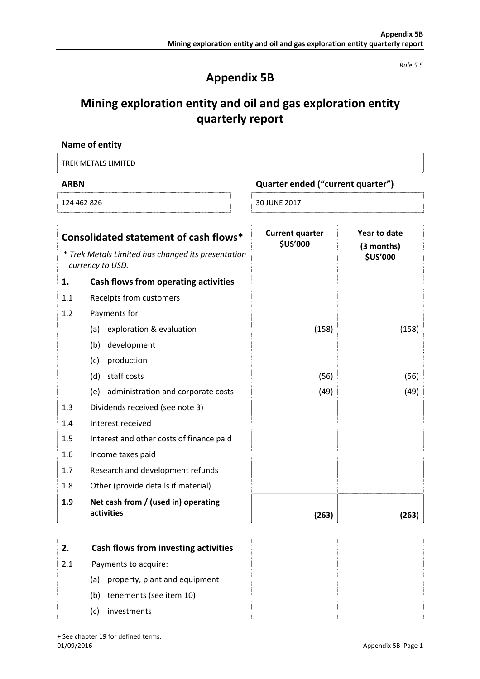*Rule 5.5* 

## **Appendix 5B**

## **Mining exploration entity and oil and gas exploration entity quarterly report**

| Name of entity      |                                   |
|---------------------|-----------------------------------|
| TREK METALS LIMITED |                                   |
| <b>ARBN</b>         | Quarter ended ("current quarter") |
| 124 462 826         | 30 JUNE 2017                      |

|     | Consolidated statement of cash flows*                                  | <b>Current quarter</b><br><b>\$US'000</b> | Year to date<br>(3 months) |
|-----|------------------------------------------------------------------------|-------------------------------------------|----------------------------|
|     | * Trek Metals Limited has changed its presentation<br>currency to USD. |                                           | <b>\$US'000</b>            |
| 1.  | Cash flows from operating activities                                   |                                           |                            |
| 1.1 | Receipts from customers                                                |                                           |                            |
| 1.2 | Payments for                                                           |                                           |                            |
|     | exploration & evaluation<br>(a)                                        | (158)                                     | (158)                      |
|     | development<br>(b)                                                     |                                           |                            |
|     | production<br>(c)                                                      |                                           |                            |
|     | staff costs<br>(d)                                                     | (56)                                      | (56)                       |
|     | administration and corporate costs<br>(e)                              | (49)                                      | (49)                       |
| 1.3 | Dividends received (see note 3)                                        |                                           |                            |
| 1.4 | Interest received                                                      |                                           |                            |
| 1.5 | Interest and other costs of finance paid                               |                                           |                            |
| 1.6 | Income taxes paid                                                      |                                           |                            |
| 1.7 | Research and development refunds                                       |                                           |                            |
| 1.8 | Other (provide details if material)                                    |                                           |                            |
| 1.9 | Net cash from / (used in) operating                                    |                                           |                            |
|     | activities                                                             | (263)                                     | (263)                      |

| 2.  | Cash flows from investing activities |  |
|-----|--------------------------------------|--|
| 2.1 | Payments to acquire:                 |  |
|     | property, plant and equipment<br>(a) |  |
|     | tenements (see item 10)<br>(b)       |  |
|     | investments<br>(C)                   |  |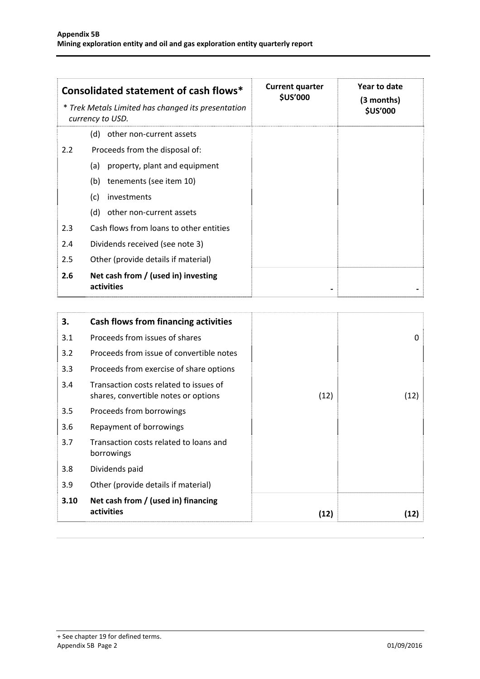|     | Consolidated statement of cash flows*<br>* Trek Metals Limited has changed its presentation<br>currency to USD. | <b>Current quarter</b><br><b>\$US'000</b> | Year to date<br>(3 months)<br><b>\$US'000</b> |
|-----|-----------------------------------------------------------------------------------------------------------------|-------------------------------------------|-----------------------------------------------|
|     | other non-current assets<br>(d)                                                                                 |                                           |                                               |
| 2.2 | Proceeds from the disposal of:                                                                                  |                                           |                                               |
|     | property, plant and equipment<br>(a)                                                                            |                                           |                                               |
|     | tenements (see item 10)<br>(b)                                                                                  |                                           |                                               |
|     | (c)<br>investments                                                                                              |                                           |                                               |
|     | other non-current assets<br>(d)                                                                                 |                                           |                                               |
| 2.3 | Cash flows from loans to other entities                                                                         |                                           |                                               |
| 2.4 | Dividends received (see note 3)                                                                                 |                                           |                                               |
| 2.5 | Other (provide details if material)                                                                             |                                           |                                               |
| 2.6 | Net cash from / (used in) investing<br>activities                                                               |                                           |                                               |

| 3.   | Cash flows from financing activities                                           |      |      |
|------|--------------------------------------------------------------------------------|------|------|
| 3.1  | Proceeds from issues of shares                                                 |      | 0    |
| 3.2  | Proceeds from issue of convertible notes                                       |      |      |
| 3.3  | Proceeds from exercise of share options                                        |      |      |
| 3.4  | Transaction costs related to issues of<br>shares, convertible notes or options | (12) | (12) |
| 3.5  | Proceeds from borrowings                                                       |      |      |
| 3.6  | Repayment of borrowings                                                        |      |      |
| 3.7  | Transaction costs related to loans and<br>borrowings                           |      |      |
| 3.8  | Dividends paid                                                                 |      |      |
| 3.9  | Other (provide details if material)                                            |      |      |
| 3.10 | Net cash from / (used in) financing<br>activities                              | (12) | (12) |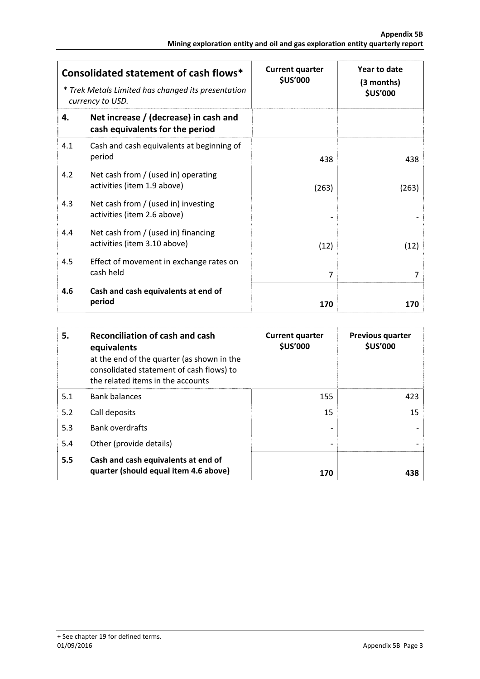|     | Consolidated statement of cash flows*<br>* Trek Metals Limited has changed its presentation<br>currency to USD. | <b>Current quarter</b><br><b>\$US'000</b> | Year to date<br>(3 months)<br><b>\$US'000</b> |
|-----|-----------------------------------------------------------------------------------------------------------------|-------------------------------------------|-----------------------------------------------|
| 4.  | Net increase / (decrease) in cash and<br>cash equivalents for the period                                        |                                           |                                               |
| 4.1 | Cash and cash equivalents at beginning of<br>period                                                             | 438                                       | 438                                           |
| 4.2 | Net cash from / (used in) operating<br>activities (item 1.9 above)                                              | (263)                                     | (263)                                         |
| 4.3 | Net cash from $/$ (used in) investing<br>activities (item 2.6 above)                                            |                                           |                                               |
| 4.4 | Net cash from $/$ (used in) financing<br>activities (item 3.10 above)                                           | (12)                                      | (12)                                          |
| 4.5 | Effect of movement in exchange rates on<br>cash held                                                            | 7                                         | 7                                             |
| 4.6 | Cash and cash equivalents at end of<br>period                                                                   | 170                                       | 170                                           |

| 5.  | <b>Reconciliation of cash and cash</b><br>equivalents<br>at the end of the quarter (as shown in the<br>consolidated statement of cash flows) to<br>the related items in the accounts | <b>Current quarter</b><br><b>\$US'000</b> | <b>Previous quarter</b><br><b>\$US'000</b> |
|-----|--------------------------------------------------------------------------------------------------------------------------------------------------------------------------------------|-------------------------------------------|--------------------------------------------|
| 5.1 | <b>Bank balances</b>                                                                                                                                                                 | 155                                       | 423                                        |
| 5.2 | Call deposits                                                                                                                                                                        | 15                                        | 15                                         |
| 5.3 | <b>Bank overdrafts</b>                                                                                                                                                               |                                           |                                            |
| 5.4 | Other (provide details)                                                                                                                                                              |                                           |                                            |
| 5.5 | Cash and cash equivalents at end of<br>quarter (should equal item 4.6 above)                                                                                                         | 170                                       | 438                                        |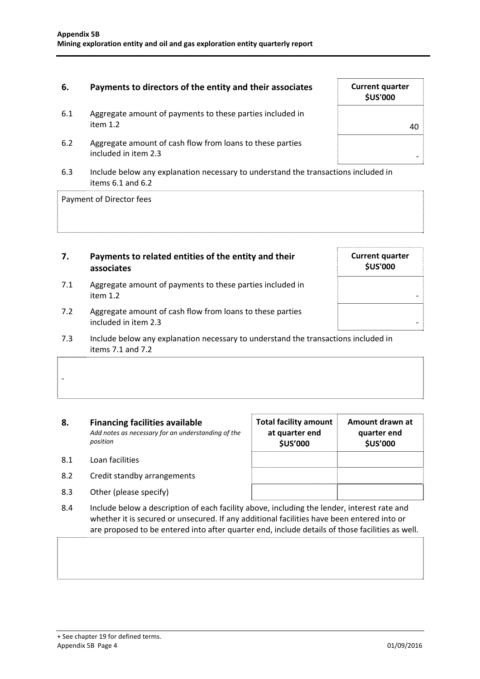#### **6.** Payments to directors of the entity and their associates

- 6.1 Aggregate amount of payments to these parties included in item 1.2  $\vert$  40
- 6.2 Aggregate amount of cash flow from loans to these parties included in item 2.3
- 6.3 Include below any explanation necessary to understand the transactions included in items 6.1 and 6.2

Payment of Director fees

#### **7. Payments to related entities of the entity and their associates**

- 7.1 Aggregate amount of payments to these parties included in  $\blacksquare$ item 1.2  $\blacksquare$
- 7.2 Aggregate amount of cash flow from loans to these parties included in item 2.3
- 7.3 Include below any explanation necessary to understand the transactions included in items 7.1 and 7.2

#### **8. Financing facilities available** *Add notes as necessary for an understanding of the position*

8.1 Loan facilities

‐

- 8.2 Credit standby arrangements
- 8.3 Other (please specify)
- 8.4 Include below a description of each facility above, including the lender, interest rate and whether it is secured or unsecured. If any additional facilities have been entered into or are proposed to be entered into after quarter end, include details of those facilities as well.

**Total facility amount at quarter end \$US'000** 

| <b>Current quarter</b><br><b>\$US'000</b> |
|-------------------------------------------|
| 40                                        |
|                                           |

**Current quarter \$US'000** 

**Amount drawn at quarter end \$US'000**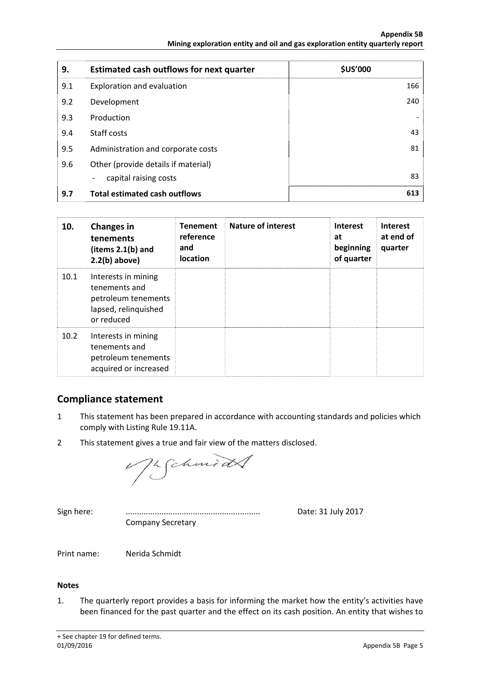| 9.  | <b>Estimated cash outflows for next quarter</b> | <b>\$US'000</b> |
|-----|-------------------------------------------------|-----------------|
| 9.1 | Exploration and evaluation                      | 166             |
| 9.2 | Development                                     | 240             |
| 9.3 | Production                                      |                 |
| 9.4 | Staff costs                                     | 43              |
| 9.5 | Administration and corporate costs              | 81              |
| 9.6 | Other (provide details if material)             |                 |
|     | capital raising costs<br>-                      | 83              |
| 9.7 | <b>Total estimated cash outflows</b>            | 613             |

| 10.  | <b>Changes in</b><br>tenements<br>(items $2.1(b)$ and<br>$2.2(b)$ above)                          | <b>Tenement</b><br>reference<br>and<br><b>location</b> | <b>Nature of interest</b> | <b>Interest</b><br>at<br>beginning<br>of quarter | <b>Interest</b><br>at end of<br>quarter |
|------|---------------------------------------------------------------------------------------------------|--------------------------------------------------------|---------------------------|--------------------------------------------------|-----------------------------------------|
| 10.1 | Interests in mining<br>tenements and<br>petroleum tenements<br>lapsed, relinquished<br>or reduced |                                                        |                           |                                                  |                                         |
| 10.2 | Interests in mining<br>tenements and<br>petroleum tenements<br>acquired or increased              |                                                        |                           |                                                  |                                         |

#### **Compliance statement**

- 1 This statement has been prepared in accordance with accounting standards and policies which comply with Listing Rule 19.11A.
- 2 This statement gives a true and fair view of the matters disclosed.

Vigchmidt

Company Secretary

Sign here: ............................................................ Date: 31 July 2017

Print name: Nerida Schmidt

#### **Notes**

1. The quarterly report provides a basis for informing the market how the entity's activities have been financed for the past quarter and the effect on its cash position. An entity that wishes to